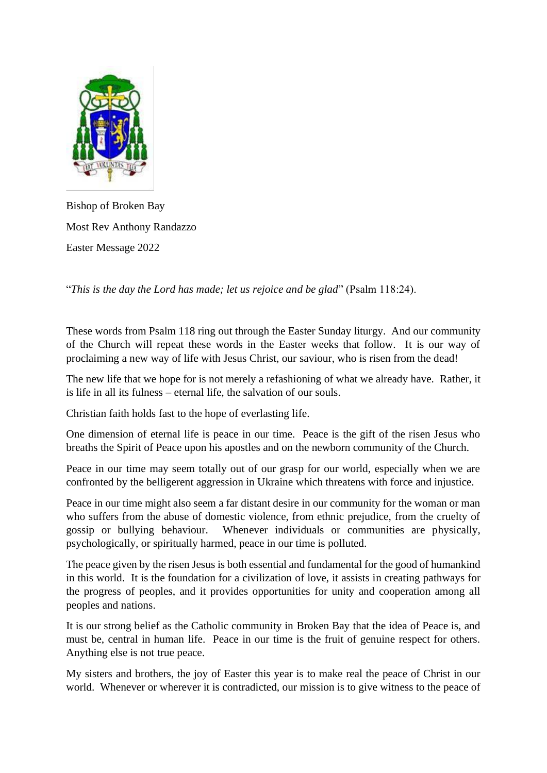

Bishop of Broken Bay Most Rev Anthony Randazzo Easter Message 2022

"*This is the day the Lord has made; let us rejoice and be glad*" (Psalm 118:24).

These words from Psalm 118 ring out through the Easter Sunday liturgy. And our community of the Church will repeat these words in the Easter weeks that follow. It is our way of proclaiming a new way of life with Jesus Christ, our saviour, who is risen from the dead!

The new life that we hope for is not merely a refashioning of what we already have. Rather, it is life in all its fulness – eternal life, the salvation of our souls.

Christian faith holds fast to the hope of everlasting life.

One dimension of eternal life is peace in our time. Peace is the gift of the risen Jesus who breaths the Spirit of Peace upon his apostles and on the newborn community of the Church.

Peace in our time may seem totally out of our grasp for our world, especially when we are confronted by the belligerent aggression in Ukraine which threatens with force and injustice.

Peace in our time might also seem a far distant desire in our community for the woman or man who suffers from the abuse of domestic violence, from ethnic prejudice, from the cruelty of gossip or bullying behaviour. Whenever individuals or communities are physically, psychologically, or spiritually harmed, peace in our time is polluted.

The peace given by the risen Jesus is both essential and fundamental for the good of humankind in this world. It is the foundation for a civilization of love, it assists in creating pathways for the progress of peoples, and it provides opportunities for unity and cooperation among all peoples and nations.

It is our strong belief as the Catholic community in Broken Bay that the idea of Peace is, and must be, central in human life. Peace in our time is the fruit of genuine respect for others. Anything else is not true peace.

My sisters and brothers, the joy of Easter this year is to make real the peace of Christ in our world. Whenever or wherever it is contradicted, our mission is to give witness to the peace of